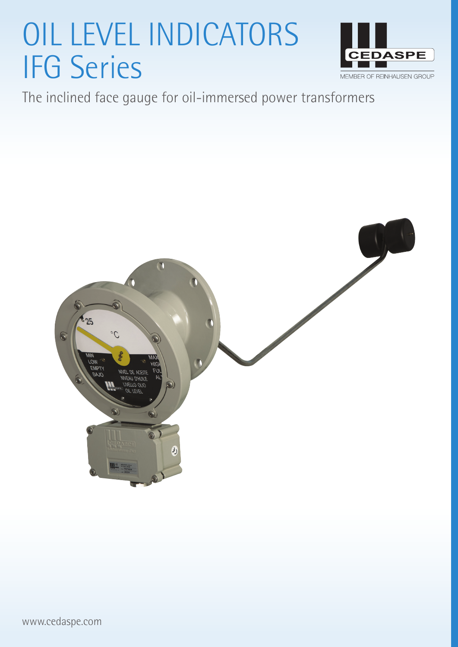# OIL LEVEL INDICATORS IFG Series



The inclined face gauge for oil-immersed power transformers

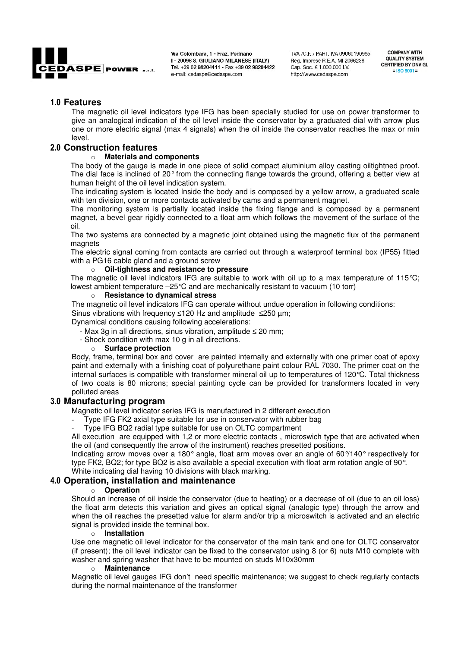

Via Colombara, 1 - Fraz. Pedriano I - 20098 S. GIULIANO MILANESE (ITALY) Tel. +39 02 98204411 - Fax +39 02 98204422 e-mail: cedaspe@cedaspe.com

TVA /C.F. / PART, IVA 09060190965 Reg. Imprese R.E.A. MI 2066238 Cap. Soc. € 1.000.000 I.V. http://www.cedaspe.com

**COMPANY WITH QUALITY SYSTEM CERTIFIED BY DNV GL**  $=$  ISO 9001 =

### **Features**

The magnetic oil level indicators type IFG has been specially studied for use on power transformer to give an analogical indication of the oil level inside the conservator by a graduated dial with arrow plus one or more electric signal (max 4 signals) when the oil inside the conservator reaches the max or min level.

# **Construction features** <sup>o</sup> **Materials and components**

The body of the gauge is made in one piece of solid compact aluminium alloy casting oiltightned proof. The dial face is inclined of 20° from the connecting flange towards the ground, offering a better view at human height of the oil level indication system.

The indicating system is located Inside the body and is composed by a yellow arrow, a graduated scale with ten division, one or more contacts activated by cams and a permanent magnet.

The monitoring system is partially located inside the fixing flange and is composed by a permanent magnet, a bevel gear rigidly connected to a float arm which follows the movement of the surface of the oil.

The two systems are connected by a magnetic joint obtained using the magnetic flux of the permanent magnets

The electric signal coming from contacts are carried out through a waterproof terminal box (IP55) fitted with a PG16 cable gland and a ground screw

### o **Oil-tightness and resistance to pressure**

The magnetic oil level indicators IFG are suitable to work with oil up to a max temperature of 115 °C; lowest ambient temperature –25°C and are mechanically resistant to vacuum (10 torr)

### o **Resistance to dynamical stress**

The magnetic oil level indicators IFG can operate without undue operation in following conditions: Sinus vibrations with frequency ≤120 Hz and amplitude ≤250 µm;

Dynamical conditions causing following accelerations:

- Max 3g in all directions, sinus vibration, amplitude ≤ 20 mm;
- Shock condition with max 10 g in all directions.

### o **Surface protection**

Body, frame, terminal box and cover are painted internally and externally with one primer coat of epoxy paint and externally with a finishing coat of polyurethane paint colour RAL 7030. The primer coat on the internal surfaces is compatible with transformer mineral oil up to temperatures of 120°C. Total thickness of two coats is 80 microns; special painting cycle can be provided for transformers located in very polluted areas

### **Manufacturing program**

Magnetic oil level indicator series IFG is manufactured in 2 different execution

Type IFG FK2 axial type suitable for use in conservator with rubber bag

Type IFG BQ2 radial type suitable for use on OLTC compartment

All execution are equipped with 1,2 or more electric contacts , microswich type that are activated when the oil (and consequently the arrow of the instrument) reaches presetted positions.

Indicating arrow moves over a 180° angle, float arm moves over an angle of 60°/140° respectively for type FK2, BQ2; for type BQ2 is also available a special execution with float arm rotation angle of 90 $\degree$ . White indicating dial having 10 divisions with black marking.

# **Operation, installation and maintenance** <sup>o</sup> **Operation**

Should an increase of oil inside the conservator (due to heating) or a decrease of oil (due to an oil loss) the float arm detects this variation and gives an optical signal (analogic type) through the arrow and when the oil reaches the presetted value for alarm and/or trip a microswitch is activated and an electric signal is provided inside the terminal box.

### o **Installation**

Use one magnetic oil level indicator for the conservator of the main tank and one for OLTC conservator (if present); the oil level indicator can be fixed to the conservator using 8 (or 6) nuts M10 complete with washer and spring washer that have to be mounted on studs M10x30mm

### o **Maintenance**

Magnetic oil level gauges IFG don't need specific maintenance; we suggest to check regularly contacts during the normal maintenance of the transformer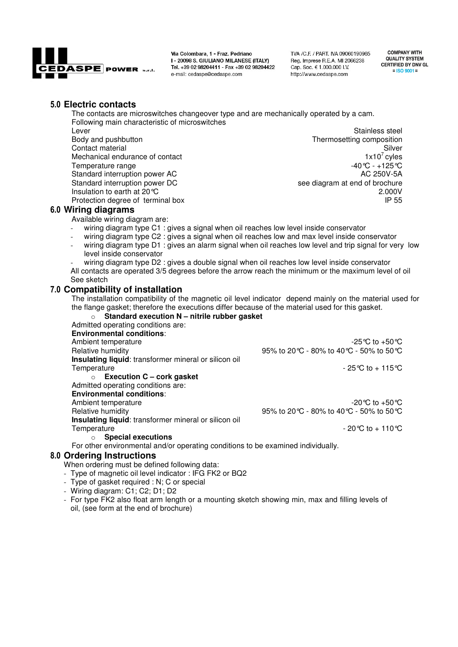

Via Colombara, 1 - Fraz. Pedriano I - 20098 S. GIULIANO MILANESE (ITALY) Tel. +39 02 98204411 - Fax +39 02 98204422 e-mail: cedaspe@cedaspe.com

TVA /C.F. / PART, IVA 09060190965 Reg. Imprese R.E.A. MI 2066238 Cap. Soc. € 1.000.000 I.V. http://www.cedaspe.com

**COMPANY WITH QUALITY SYSTEM CERTIFIED BY DNV GL**  $=$  ISO 9001 =

### **Electric contacts**

The contacts are microswitches changeover type and are mechanically operated by a cam. Following main characteristic of microswitches Lever **Stainless** steel Body and pushbutton **Thermosetting composition** Thermosetting composition Contact material Silver<br>
Mechanical endurance of contact density of the state of the state of the state of the state of the state of the state of the state of the state of the state of the state of the state of the state o Mechanical endurance of contact 1x10<sup>7</sup> cyles<br>
Temperature range 1x10<sup>7</sup> cyles<br>
1x10<sup>7</sup> cyles<br>
1x10<sup>7</sup> cyles Temperature range -40°C - +125°C<br>Standard interruption power AC -40°C - +125°C Standard interruption power AC<br>Standard interruption power DC see diagram at end of brochure Insulation to earth at 20 °C 2.000V 2.000V

### **Wiring diagrams**

Available wiring diagram are:

- wiring diagram type C1 : gives a signal when oil reaches low level inside conservator
- wiring diagram type C2 : gives a signal when oil reaches low and max level inside conservator

Protection degree of terminal box **IP 55** 

- wiring diagram type D1 : gives an alarm signal when oil reaches low level and trip signal for very low level inside conservator
- wiring diagram type D2 : gives a double signal when oil reaches low level inside conservator All contacts are operated 3/5 degrees before the arrow reach the minimum or the maximum level of oil See sketch

### **Compatibility of installation**

The installation compatibility of the magnetic oil level indicator depend mainly on the material used for the flange gasket; therefore the executions differ because of the material used for this gasket.

| Standard execution N - nitrile rubber gasket<br>$\circ$                          |                                            |
|----------------------------------------------------------------------------------|--------------------------------------------|
| Admitted operating conditions are:                                               |                                            |
| <b>Environmental conditions:</b>                                                 |                                            |
| Ambient temperature                                                              | -25 °C to +50 °C                           |
| Relative humidity                                                                | 95% to 20 °C - 80% to 40 °C - 50% to 50 °C |
| Insulating liquid: transformer mineral or silicon oil                            |                                            |
| Temperature                                                                      | $-25^{\circ}$ C to $+115^{\circ}$ C        |
| $\circ$ Execution C – cork gasket                                                |                                            |
| Admitted operating conditions are:                                               |                                            |
| <b>Environmental conditions:</b>                                                 |                                            |
| Ambient temperature                                                              | -20 °C to +50 °C                           |
| Relative humidity                                                                | 95% to 20 °C - 80% to 40 °C - 50% to 50 °C |
| Insulating liquid: transformer mineral or silicon oil                            |                                            |
| Temperature                                                                      | $-20^{\circ}$ C to $+110^{\circ}$ C        |
| <b>Special executions</b>                                                        |                                            |
| For other environmental and/or operating conditions to be examined individually. |                                            |
| 8.0 Ordering Instructions                                                        |                                            |
| When ordering must be defined following data:                                    |                                            |
| - Type of magnetic oil level indicator: IFG FK2 or BQ2                           |                                            |

- 
- Type of gasket required : N; C or special
- Wiring diagram: C1; C2; D1; D2
- For type FK2 also float arm length or a mounting sketch showing min, max and filling levels of oil, (see form at the end of brochure)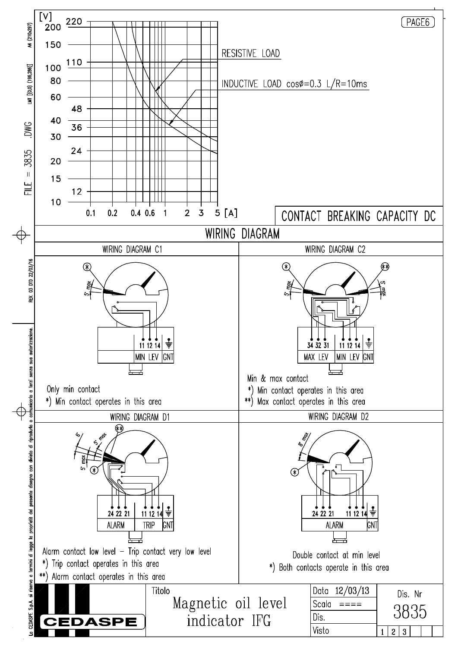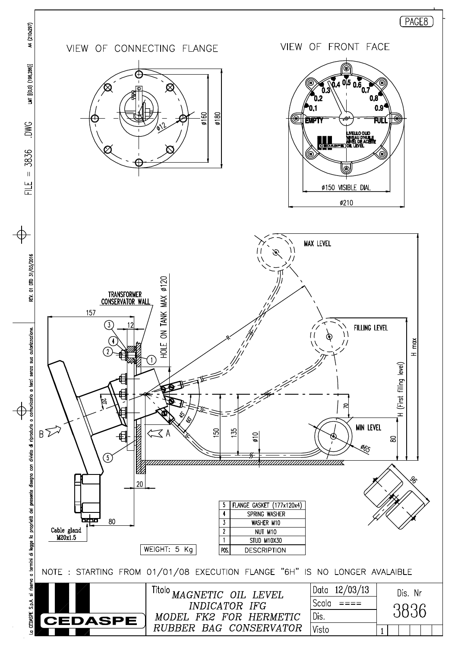